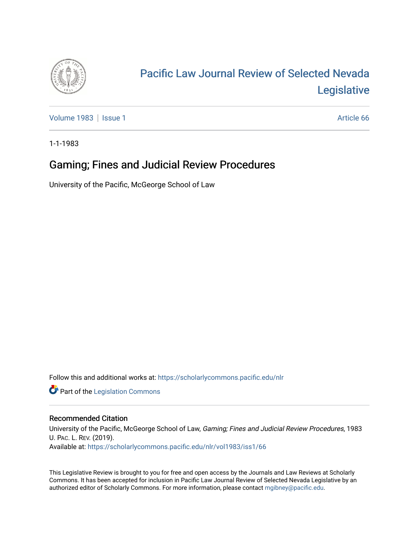

# [Pacific Law Journal Review of Selected Nevada](https://scholarlycommons.pacific.edu/nlr)  [Legislative](https://scholarlycommons.pacific.edu/nlr)

[Volume 1983](https://scholarlycommons.pacific.edu/nlr/vol1983) | [Issue 1](https://scholarlycommons.pacific.edu/nlr/vol1983/iss1) Article 66

1-1-1983

## Gaming; Fines and Judicial Review Procedures

University of the Pacific, McGeorge School of Law

Follow this and additional works at: [https://scholarlycommons.pacific.edu/nlr](https://scholarlycommons.pacific.edu/nlr?utm_source=scholarlycommons.pacific.edu%2Fnlr%2Fvol1983%2Fiss1%2F66&utm_medium=PDF&utm_campaign=PDFCoverPages) 

**Part of the [Legislation Commons](http://network.bepress.com/hgg/discipline/859?utm_source=scholarlycommons.pacific.edu%2Fnlr%2Fvol1983%2Fiss1%2F66&utm_medium=PDF&utm_campaign=PDFCoverPages)** 

### Recommended Citation

University of the Pacific, McGeorge School of Law, Gaming; Fines and Judicial Review Procedures, 1983 U. PAC. L. REV. (2019). Available at: [https://scholarlycommons.pacific.edu/nlr/vol1983/iss1/66](https://scholarlycommons.pacific.edu/nlr/vol1983/iss1/66?utm_source=scholarlycommons.pacific.edu%2Fnlr%2Fvol1983%2Fiss1%2F66&utm_medium=PDF&utm_campaign=PDFCoverPages)

This Legislative Review is brought to you for free and open access by the Journals and Law Reviews at Scholarly Commons. It has been accepted for inclusion in Pacific Law Journal Review of Selected Nevada Legislative by an authorized editor of Scholarly Commons. For more information, please contact [mgibney@pacific.edu](mailto:mgibney@pacific.edu).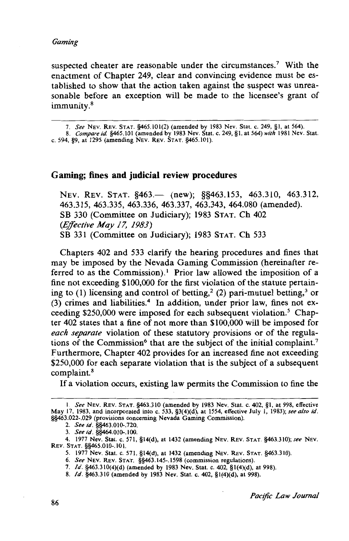#### *Gaming*

suspected cheater are reasonable under the circumstances.<sup>7</sup> With the enactment of Chapter 249, clear and convincing evidence must be established to show that the action taken against the suspect was unreasonable before an exception will be made to the licensee's grant of immunity. <sup>8</sup>

#### **Gaming; fines and judicial review procedures**

NEV. REV. STAT. §463. (new); §§463.153, 463.310, 463.312, 463.315, 463.335, 463.336, 463.337, 463.343, 464.080 (amended). SB 330 (Committee on Judiciary); 1983 STAT. Ch 402 *(Effective May 17, 1983)*  SB 331 (Committee on Judiciary); 1983 STAT. Ch 533

Chapters 402 and 533 clarify the hearing procedures and fines that may be imposed by the Nevada Gaming Commission (hereinafter referred to as the Commission).<sup>1</sup> Prior law allowed the imposition of a fine not exceeding \$100,000 for the first violation of the statute pertaining to (1) licensing and control of betting,<sup>2</sup> (2) pari-mutuel betting,<sup>3</sup> or  $(3)$  crimes and liabilities.<sup>4</sup> In addition, under prior law, fines not exceeding \$250,000 were imposed for each subsequent violation.<sup>5</sup> Chapter 402 states that a fine of not more than \$100,000 will be imposed for *each separate* violation of these statutory provisions or of the regulations of the Commission<sup>6</sup> that are the subject of the initial complaint.<sup>7</sup> Furthermore, Chapter 402 provides for an increased fine not exceeding \$250,000 for each separate violation that is the subject of a subsequent complaint.8

If a violation occurs, existing law permits the Commission to fine the

<sup>7.</sup> *See* NEv. REv. STAT. §465.101(2) (amended by 1983 Nev. Stat. c. 249, §1, at 564).

<sup>8.</sup> *Compare id.* §465.101 (amended by 1983 Nev. Stat. c. 249, §I, at 564) *with* 1981 Nev. Stat. c. 594, §9, at 1295 (amending NEv. REv. STAT. §465.101).

I. *See* NEv. REV. STAT. §463.310 (amended by 1983 Nev. Stat. c. 402, §1, at 998, effective May 17, 1983, and incorporated into c. 533, §3(4)(d), at 1554, effective July I, 1983); *see also id.*  §§463.022-.029 (provisions concerning Nevada Gaming Commission).

<sup>2.</sup> *See id.* §§463.010-.720.

<sup>3.</sup> *See id.* §§464.010-.100.

<sup>4. 1977</sup> Nev. Stat. c. 571, §14(d), at 1432 (amending NEv. REv. STAT. §463.310); *see* NEv. REV. STAT. §§465.010-.101.

<sup>5. 1977</sup> Nev. Stat. c. 571, §14(d}, at 1432 (amending NEV. REV. STAT. §463.310).

<sup>6.</sup> *See* NEv. REv. STAT. §§463.145-.1598 (commission regulations).

<sup>7.</sup> */d.* §463.310(4)(d) (amended by 1983 Nev. Stat. c. 402, §1(4)(d}, at 998).

<sup>8.</sup> */d.* §463.310 (amended by 1983 Nev. Stat. c. 402, § 1(4)(d}, at 998).